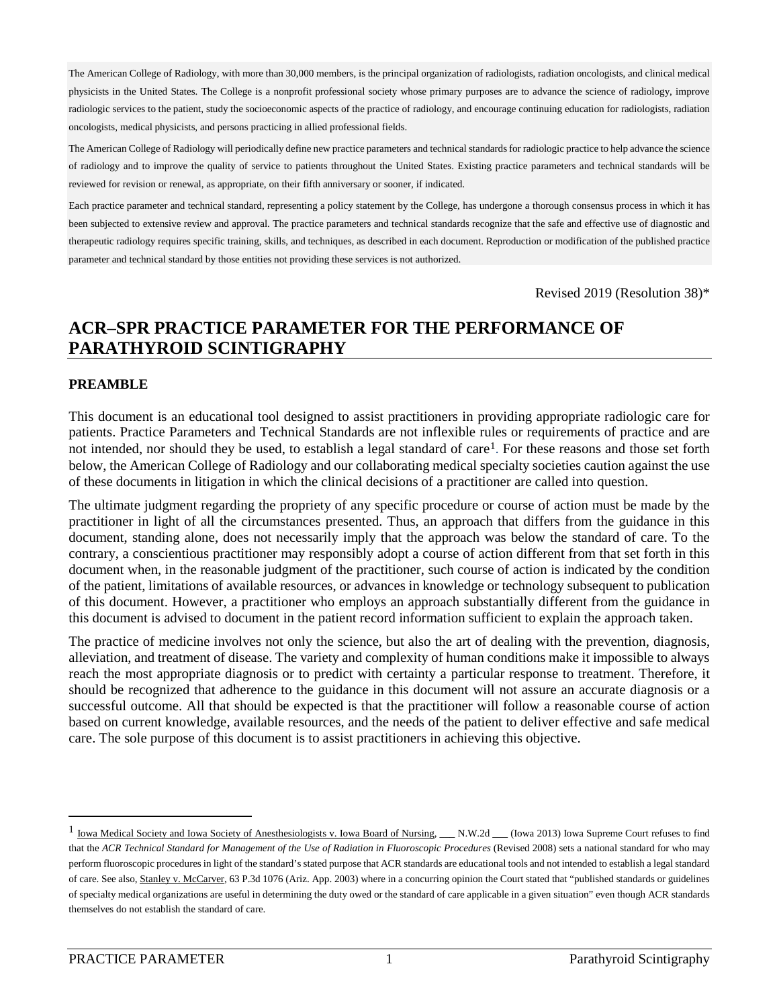The American College of Radiology, with more than 30,000 members, is the principal organization of radiologists, radiation oncologists, and clinical medical physicists in the United States. The College is a nonprofit professional society whose primary purposes are to advance the science of radiology, improve radiologic services to the patient, study the socioeconomic aspects of the practice of radiology, and encourage continuing education for radiologists, radiation oncologists, medical physicists, and persons practicing in allied professional fields.

The American College of Radiology will periodically define new practice parameters and technical standards for radiologic practice to help advance the science of radiology and to improve the quality of service to patients throughout the United States. Existing practice parameters and technical standards will be reviewed for revision or renewal, as appropriate, on their fifth anniversary or sooner, if indicated.

Each practice parameter and technical standard, representing a policy statement by the College, has undergone a thorough consensus process in which it has been subjected to extensive review and approval. The practice parameters and technical standards recognize that the safe and effective use of diagnostic and therapeutic radiology requires specific training, skills, and techniques, as described in each document. Reproduction or modification of the published practice parameter and technical standard by those entities not providing these services is not authorized.

Revised 2019 (Resolution 38)\*

# **ACR–SPR PRACTICE PARAMETER FOR THE PERFORMANCE OF PARATHYROID SCINTIGRAPHY**

#### **PREAMBLE**

This document is an educational tool designed to assist practitioners in providing appropriate radiologic care for patients. Practice Parameters and Technical Standards are not inflexible rules or requirements of practice and are not intended, nor should they be used, to establish a legal standard of care<sup>1</sup>. For these reasons and those set forth below, the American College of Radiology and our collaborating medical specialty societies caution against the use of these documents in litigation in which the clinical decisions of a practitioner are called into question.

The ultimate judgment regarding the propriety of any specific procedure or course of action must be made by the practitioner in light of all the circumstances presented. Thus, an approach that differs from the guidance in this document, standing alone, does not necessarily imply that the approach was below the standard of care. To the contrary, a conscientious practitioner may responsibly adopt a course of action different from that set forth in this document when, in the reasonable judgment of the practitioner, such course of action is indicated by the condition of the patient, limitations of available resources, or advances in knowledge or technology subsequent to publication of this document. However, a practitioner who employs an approach substantially different from the guidance in this document is advised to document in the patient record information sufficient to explain the approach taken.

The practice of medicine involves not only the science, but also the art of dealing with the prevention, diagnosis, alleviation, and treatment of disease. The variety and complexity of human conditions make it impossible to always reach the most appropriate diagnosis or to predict with certainty a particular response to treatment. Therefore, it should be recognized that adherence to the guidance in this document will not assure an accurate diagnosis or a successful outcome. All that should be expected is that the practitioner will follow a reasonable course of action based on current knowledge, available resources, and the needs of the patient to deliver effective and safe medical care. The sole purpose of this document is to assist practitioners in achieving this objective.

<span id="page-0-0"></span><sup>&</sup>lt;sup>1</sup> Iowa Medical Society and Iowa Society of Anesthesiologists v. Iowa Board of Nursing, \_\_\_ N.W.2d \_\_\_ (Iowa 2013) Iowa Supreme Court refuses to find that the *ACR Technical Standard for Management of the Use of Radiation in Fluoroscopic Procedures* (Revised 2008) sets a national standard for who may perform fluoroscopic procedures in light of the standard's stated purpose that ACR standards are educational tools and not intended to establish a legal standard of care. See also, Stanley v. McCarver, 63 P.3d 1076 (Ariz. App. 2003) where in a concurring opinion the Court stated that "published standards or guidelines of specialty medical organizations are useful in determining the duty owed or the standard of care applicable in a given situation" even though ACR standards themselves do not establish the standard of care.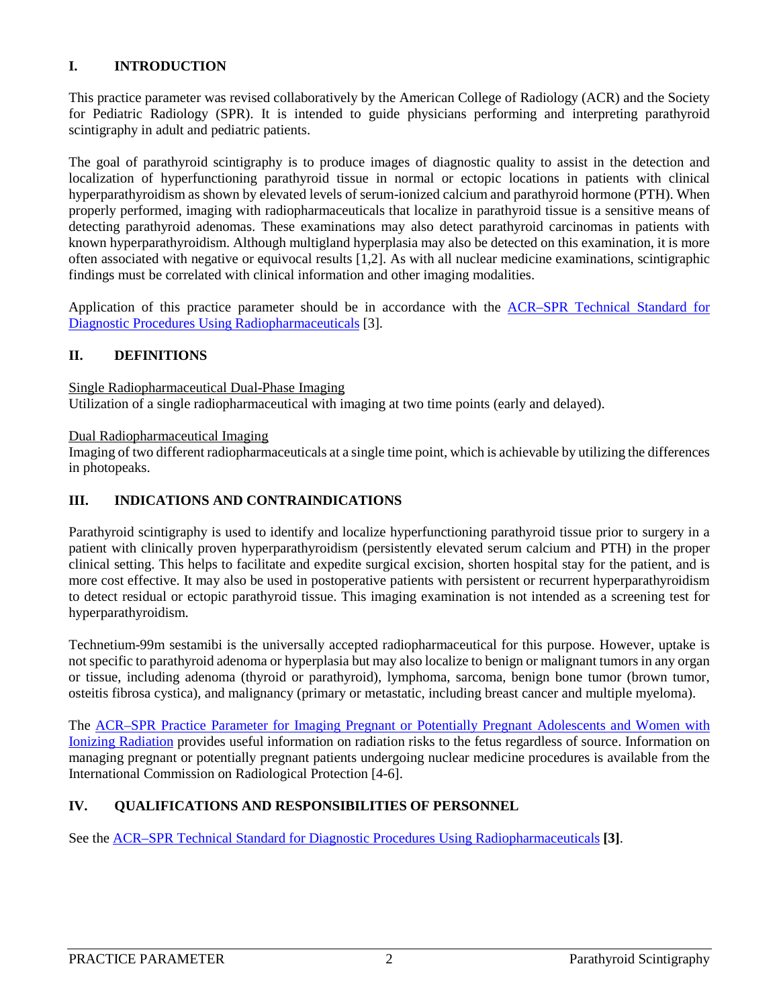# **I. INTRODUCTION**

This practice parameter was revised collaboratively by the American College of Radiology (ACR) and the Society for Pediatric Radiology (SPR). It is intended to guide physicians performing and interpreting parathyroid scintigraphy in adult and pediatric patients.

The goal of parathyroid scintigraphy is to produce images of diagnostic quality to assist in the detection and localization of hyperfunctioning parathyroid tissue in normal or ectopic locations in patients with clinical hyperparathyroidism as shown by elevated levels of serum-ionized calcium and parathyroid hormone (PTH). When properly performed, imaging with radiopharmaceuticals that localize in parathyroid tissue is a sensitive means of detecting parathyroid adenomas. These examinations may also detect parathyroid carcinomas in patients with known hyperparathyroidism. Although multigland hyperplasia may also be detected on this examination, it is more often associated with negative or equivocal results [\[1](#page-6-0)[,2\]](#page-6-1). As with all nuclear medicine examinations, scintigraphic findings must be correlated with clinical information and other imaging modalities.

Application of this practice parameter should be in accordance with the ACR–SPR Technical Standard for [Diagnostic Procedures Using Radiopharmaceuticals](https://www.acr.org/-/media/ACR/Files/Practice-Parameters/Radiopharmaceuticals.pdf?la=en) [\[3\]](#page-6-2).

# **II. DEFINITIONS**

#### Single Radiopharmaceutical Dual-Phase Imaging

Utilization of a single radiopharmaceutical with imaging at two time points (early and delayed).

# Dual Radiopharmaceutical Imaging

Imaging of two different radiopharmaceuticals at a single time point, which is achievable by utilizing the differences in photopeaks.

# **III. INDICATIONS AND CONTRAINDICATIONS**

Parathyroid scintigraphy is used to identify and localize hyperfunctioning parathyroid tissue prior to surgery in a patient with clinically proven hyperparathyroidism (persistently elevated serum calcium and PTH) in the proper clinical setting. This helps to facilitate and expedite surgical excision, shorten hospital stay for the patient, and is more cost effective. It may also be used in postoperative patients with persistent or recurrent hyperparathyroidism to detect residual or ectopic parathyroid tissue. This imaging examination is not intended as a screening test for hyperparathyroidism.

Technetium-99m sestamibi is the universally accepted radiopharmaceutical for this purpose. However, uptake is not specific to parathyroid adenoma or hyperplasia but may also localize to benign or malignant tumors in any organ or tissue, including adenoma (thyroid or parathyroid), lymphoma, sarcoma, benign bone tumor (brown tumor, osteitis fibrosa cystica), and malignancy (primary or metastatic, including breast cancer and multiple myeloma).

The **ACR–SPR** Practice Parameter for Imaging Pregnant or Potentially Pregnant Adolescents and Women with [Ionizing Radiation](https://www.acr.org/-/media/ACR/Files/Practice-Parameters/Pregnant-Pts.pdf) provides useful information on radiation risks to the fetus regardless of source. Information on managing pregnant or potentially pregnant patients undergoing nuclear medicine procedures is available from the International Commission on Radiological Protection [\[4-6\]](#page-6-3).

# **IV. QUALIFICATIONS AND RESPONSIBILITIES OF PERSONNEL**

See the [ACR–SPR Technical Standard for Diagnostic Procedures Using Radiopharmaceuticals](https://www.acr.org/-/media/ACR/Files/Practice-Parameters/Radiopharmaceuticals.pdf?la=en) **[\[3\]](#page-6-2)**.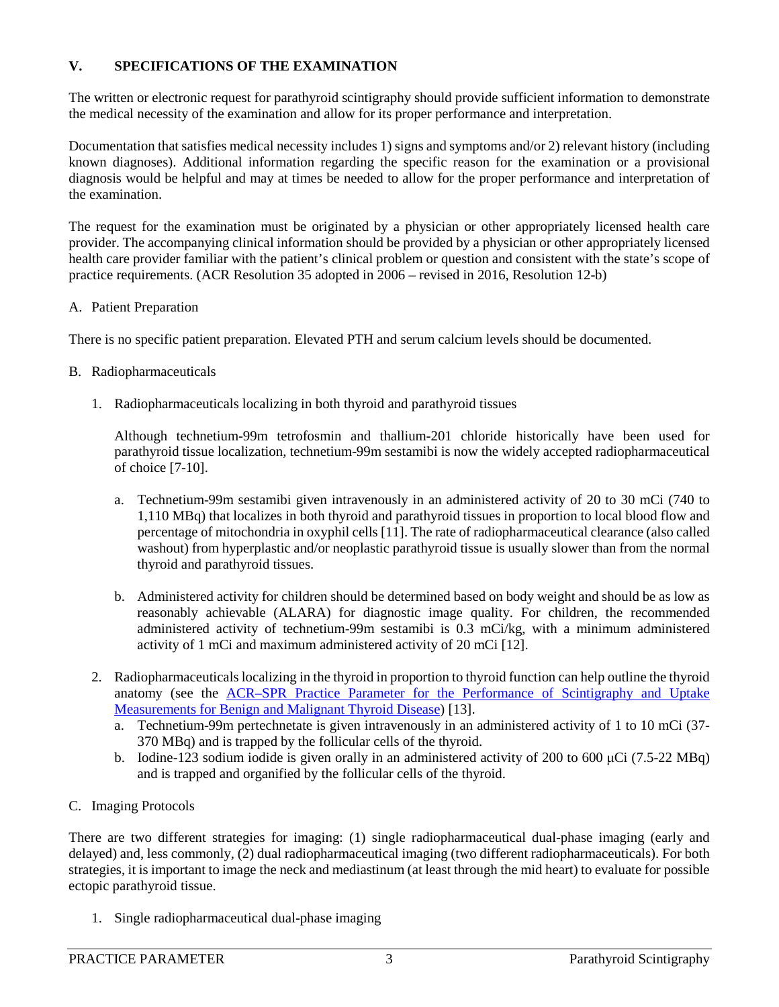# **V. SPECIFICATIONS OF THE EXAMINATION**

The written or electronic request for parathyroid scintigraphy should provide sufficient information to demonstrate the medical necessity of the examination and allow for its proper performance and interpretation.

Documentation that satisfies medical necessity includes 1) signs and symptoms and/or 2) relevant history (including known diagnoses). Additional information regarding the specific reason for the examination or a provisional diagnosis would be helpful and may at times be needed to allow for the proper performance and interpretation of the examination.

The request for the examination must be originated by a physician or other appropriately licensed health care provider. The accompanying clinical information should be provided by a physician or other appropriately licensed health care provider familiar with the patient's clinical problem or question and consistent with the state's scope of practice requirements. (ACR Resolution 35 adopted in 2006 – revised in 2016, Resolution 12-b)

#### A. Patient Preparation

There is no specific patient preparation. Elevated PTH and serum calcium levels should be documented.

- B. Radiopharmaceuticals
	- 1. Radiopharmaceuticals localizing in both thyroid and parathyroid tissues

Although technetium-99m tetrofosmin and thallium-201 chloride historically have been used for parathyroid tissue localization, technetium-99m sestamibi is now the widely accepted radiopharmaceutical of choice [\[7-10\]](#page-6-4).

- a. Technetium-99m sestamibi given intravenously in an administered activity of 20 to 30 mCi (740 to 1,110 MBq) that localizes in both thyroid and parathyroid tissues in proportion to local blood flow and percentage of mitochondria in oxyphil cells [\[11\]](#page-6-5). The rate of radiopharmaceutical clearance (also called washout) from hyperplastic and/or neoplastic parathyroid tissue is usually slower than from the normal thyroid and parathyroid tissues.
- b. Administered activity for children should be determined based on body weight and should be as low as reasonably achievable (ALARA) for diagnostic image quality. For children, the recommended administered activity of technetium-99m sestamibi is 0.3 mCi/kg, with a minimum administered activity of 1 mCi and maximum administered activity of 20 mCi [\[12\]](#page-6-6).
- 2. Radiopharmaceuticals localizing in the thyroid in proportion to thyroid function can help outline the thyroid anatomy (see the [ACR–SPR Practice Parameter for the Performance of Scintigraphy and Uptake](https://www.acr.org/-/media/ACR/Files/Practice-Parameters/Thy-Scint.pdf)  [Measurements for Benign and Malignant Thyroid Disease\)](https://www.acr.org/-/media/ACR/Files/Practice-Parameters/Thy-Scint.pdf) [\[13\]](#page-7-0).
	- a. Technetium-99m pertechnetate is given intravenously in an administered activity of 1 to 10 mCi (37- 370 MBq) and is trapped by the follicular cells of the thyroid.
	- b. Iodine-123 sodium iodide is given orally in an administered activity of 200 to 600  $\mu$ Ci (7.5-22 MBq) and is trapped and organified by the follicular cells of the thyroid.
- C. Imaging Protocols

There are two different strategies for imaging: (1) single radiopharmaceutical dual-phase imaging (early and delayed) and, less commonly, (2) dual radiopharmaceutical imaging (two different radiopharmaceuticals). For both strategies, it is important to image the neck and mediastinum (at least through the mid heart) to evaluate for possible ectopic parathyroid tissue.

1. Single radiopharmaceutical dual-phase imaging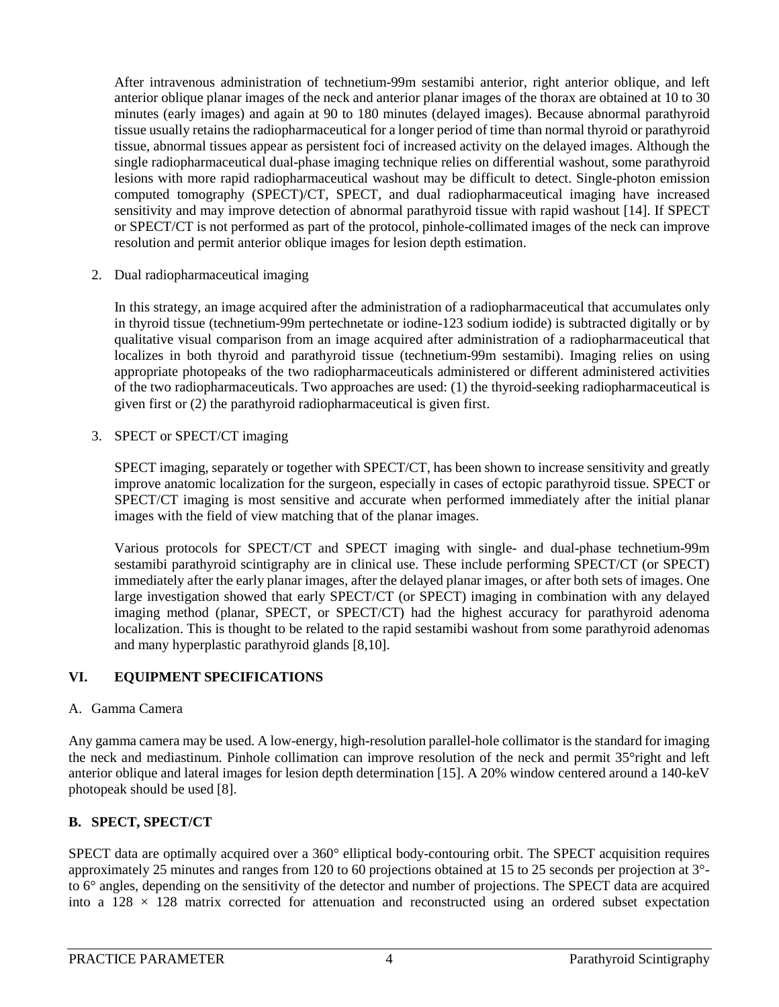After intravenous administration of technetium-99m sestamibi anterior, right anterior oblique, and left anterior oblique planar images of the neck and anterior planar images of the thorax are obtained at 10 to 30 minutes (early images) and again at 90 to 180 minutes (delayed images). Because abnormal parathyroid tissue usually retains the radiopharmaceutical for a longer period of time than normal thyroid or parathyroid tissue, abnormal tissues appear as persistent foci of increased activity on the delayed images. Although the single radiopharmaceutical dual-phase imaging technique relies on differential washout, some parathyroid lesions with more rapid radiopharmaceutical washout may be difficult to detect. Single-photon emission computed tomography (SPECT)/CT, SPECT, and dual radiopharmaceutical imaging have increased sensitivity and may improve detection of abnormal parathyroid tissue with rapid washout [\[14\]](#page-7-1). If SPECT or SPECT/CT is not performed as part of the protocol, pinhole-collimated images of the neck can improve resolution and permit anterior oblique images for lesion depth estimation.

2. Dual radiopharmaceutical imaging

In this strategy, an image acquired after the administration of a radiopharmaceutical that accumulates only in thyroid tissue (technetium-99m pertechnetate or iodine-123 sodium iodide) is subtracted digitally or by qualitative visual comparison from an image acquired after administration of a radiopharmaceutical that localizes in both thyroid and parathyroid tissue (technetium-99m sestamibi). Imaging relies on using appropriate photopeaks of the two radiopharmaceuticals administered or different administered activities of the two radiopharmaceuticals. Two approaches are used: (1) the thyroid-seeking radiopharmaceutical is given first or (2) the parathyroid radiopharmaceutical is given first.

3. SPECT or SPECT/CT imaging

SPECT imaging, separately or together with SPECT/CT, has been shown to increase sensitivity and greatly improve anatomic localization for the surgeon, especially in cases of ectopic parathyroid tissue. SPECT or SPECT/CT imaging is most sensitive and accurate when performed immediately after the initial planar images with the field of view matching that of the planar images.

Various protocols for SPECT/CT and SPECT imaging with single- and dual-phase technetium-99m sestamibi parathyroid scintigraphy are in clinical use. These include performing SPECT/CT (or SPECT) immediately after the early planar images, after the delayed planar images, or after both sets of images. One large investigation showed that early SPECT/CT (or SPECT) imaging in combination with any delayed imaging method (planar, SPECT, or SPECT/CT) had the highest accuracy for parathyroid adenoma localization. This is thought to be related to the rapid sestamibi washout from some parathyroid adenomas and many hyperplastic parathyroid glands [\[8,](#page-6-7)[10\]](#page-6-8).

# **VI. EQUIPMENT SPECIFICATIONS**

# A. Gamma Camera

Any gamma camera may be used. A low-energy, high-resolution parallel-hole collimator is the standard for imaging the neck and mediastinum. Pinhole collimation can improve resolution of the neck and permit 35°right and left anterior oblique and lateral images for lesion depth determination [\[15\]](#page-7-2). A 20% window centered around a 140-keV photopeak should be used [\[8\]](#page-6-7).

# **B. SPECT, SPECT/CT**

SPECT data are optimally acquired over a 360° elliptical body-contouring orbit. The SPECT acquisition requires approximately 25 minutes and ranges from 120 to 60 projections obtained at 15 to 25 seconds per projection at 3° to 6° angles, depending on the sensitivity of the detector and number of projections. The SPECT data are acquired into a  $128 \times 128$  matrix corrected for attenuation and reconstructed using an ordered subset expectation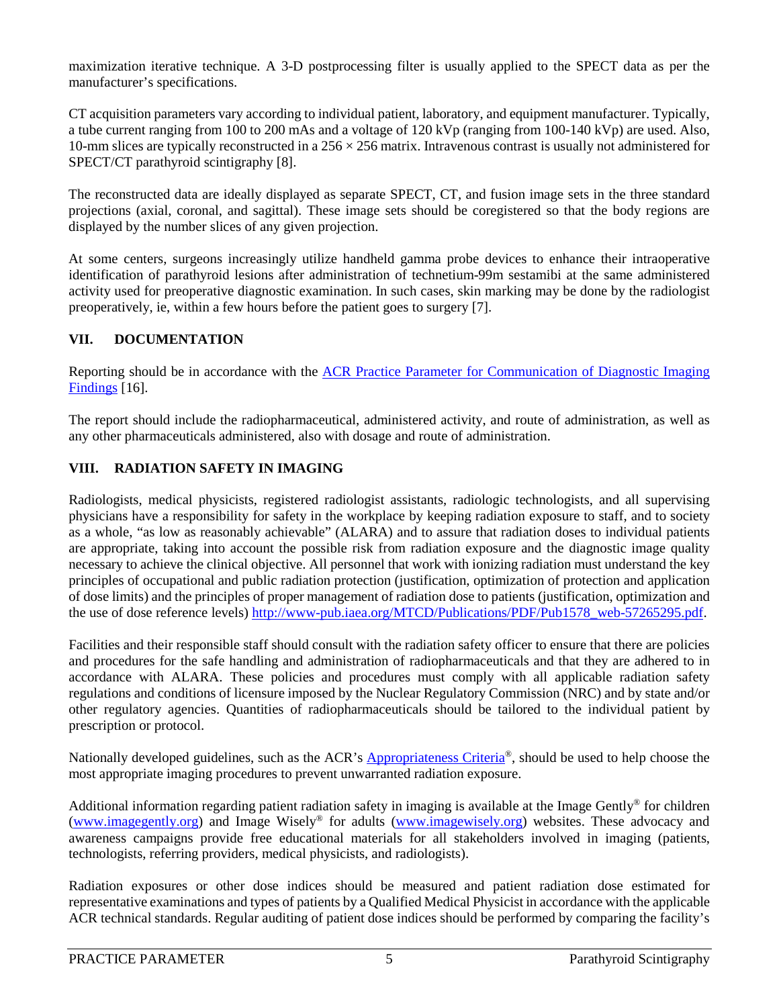maximization iterative technique. A 3-D postprocessing filter is usually applied to the SPECT data as per the manufacturer's specifications.

CT acquisition parameters vary according to individual patient, laboratory, and equipment manufacturer. Typically, a tube current ranging from 100 to 200 mAs and a voltage of 120 kVp (ranging from 100-140 kVp) are used. Also, 10-mm slices are typically reconstructed in a  $256 \times 256$  matrix. Intravenous contrast is usually not administered for SPECT/CT parathyroid scintigraphy [\[8\]](#page-6-7).

The reconstructed data are ideally displayed as separate SPECT, CT, and fusion image sets in the three standard projections (axial, coronal, and sagittal). These image sets should be coregistered so that the body regions are displayed by the number slices of any given projection.

At some centers, surgeons increasingly utilize handheld gamma probe devices to enhance their intraoperative identification of parathyroid lesions after administration of technetium-99m sestamibi at the same administered activity used for preoperative diagnostic examination. In such cases, skin marking may be done by the radiologist preoperatively, ie, within a few hours before the patient goes to surgery [\[7\]](#page-6-4).

# **VII. DOCUMENTATION**

Reporting should be in accordance with the ACR Practice Parameter [for Communication of Diagnostic Imaging](https://www.acr.org/-/media/ACR/Files/Practice-Parameters/CommunicationDiag.pdf)  [Findings](https://www.acr.org/-/media/ACR/Files/Practice-Parameters/CommunicationDiag.pdf) [\[16\]](#page-7-3).

The report should include the radiopharmaceutical, administered activity, and route of administration, as well as any other pharmaceuticals administered, also with dosage and route of administration.

# **VIII. RADIATION SAFETY IN IMAGING**

Radiologists, medical physicists, registered radiologist assistants, radiologic technologists, and all supervising physicians have a responsibility for safety in the workplace by keeping radiation exposure to staff, and to society as a whole, "as low as reasonably achievable" (ALARA) and to assure that radiation doses to individual patients are appropriate, taking into account the possible risk from radiation exposure and the diagnostic image quality necessary to achieve the clinical objective. All personnel that work with ionizing radiation must understand the key principles of occupational and public radiation protection (justification, optimization of protection and application of dose limits) and the principles of proper management of radiation dose to patients (justification, optimization and the use of dose reference levels) [http://www-pub.iaea.org/MTCD/Publications/PDF/Pub1578\\_web-57265295.pdf.](http://www-pub.iaea.org/MTCD/Publications/PDF/Pub1578_web-57265295.pdf)

Facilities and their responsible staff should consult with the radiation safety officer to ensure that there are policies and procedures for the safe handling and administration of radiopharmaceuticals and that they are adhered to in accordance with ALARA. These policies and procedures must comply with all applicable radiation safety regulations and conditions of licensure imposed by the Nuclear Regulatory Commission (NRC) and by state and/or other regulatory agencies. Quantities of radiopharmaceuticals should be tailored to the individual patient by prescription or protocol.

Nationally developed guidelines, such as the ACR's Appropriateness Criteria<sup>®</sup>, should be used to help choose the most appropriate imaging procedures to prevent unwarranted radiation exposure.

Additional information regarding patient radiation safety in imaging is available at the Image Gently® for children [\(www.imagegently.org\)](http://www.imagegently.org/) and Image Wisely® for adults [\(www.imagewisely.org\)](http://www.imagewisely.org/) websites. These advocacy and awareness campaigns provide free educational materials for all stakeholders involved in imaging (patients, technologists, referring providers, medical physicists, and radiologists).

Radiation exposures or other dose indices should be measured and patient radiation dose estimated for representative examinations and types of patients by a Qualified Medical Physicist in accordance with the applicable ACR technical standards. Regular auditing of patient dose indices should be performed by comparing the facility's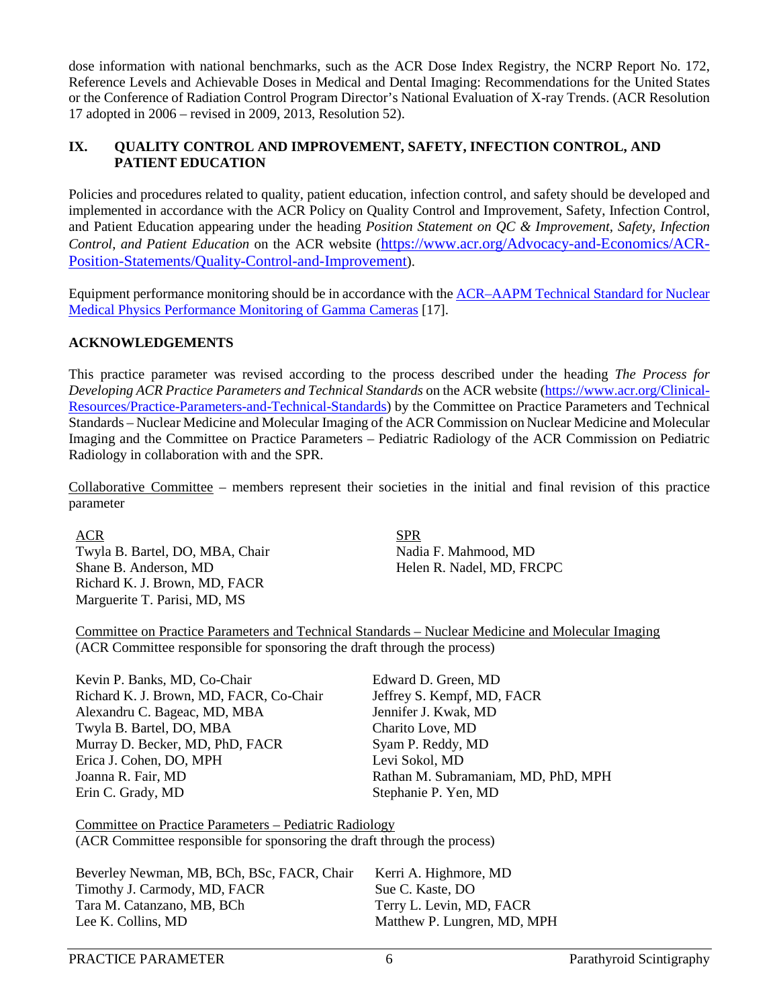dose information with national benchmarks, such as the ACR Dose Index Registry, the NCRP Report No. 172, Reference Levels and Achievable Doses in Medical and Dental Imaging: Recommendations for the United States or the Conference of Radiation Control Program Director's National Evaluation of X-ray Trends. (ACR Resolution 17 adopted in 2006 – revised in 2009, 2013, Resolution 52).

# **IX. QUALITY CONTROL AND IMPROVEMENT, SAFETY, INFECTION CONTROL, AND PATIENT EDUCATION**

Policies and procedures related to quality, patient education, infection control, and safety should be developed and implemented in accordance with the ACR Policy on Quality Control and Improvement, Safety, Infection Control, and Patient Education appearing under the heading *Position Statement on QC & Improvement, Safety, Infection Control*, *and Patient Education* on the ACR website [\(https://www.acr.org/Advocacy-and-Economics/ACR-](https://www.acr.org/Advocacy-and-Economics/ACR-Position-Statements/Quality-Control-and-Improvement)[Position-Statements/Quality-Control-and-Improvement\)](https://www.acr.org/Advocacy-and-Economics/ACR-Position-Statements/Quality-Control-and-Improvement).

Equipment performance monitoring should be in accordance with the [ACR–AAPM Technical Standard for Nuclear](https://www.acr.org/-/media/ACR/Files/Practice-Parameters/Gamma-Cam.pdf)  [Medical Physics Performance Monitoring of Gamma Cameras](https://www.acr.org/-/media/ACR/Files/Practice-Parameters/Gamma-Cam.pdf) [\[17\]](#page-7-4).

# **ACKNOWLEDGEMENTS**

This practice parameter was revised according to the process described under the heading *The Process for Developing ACR Practice Parameters and Technical Standards* on the ACR website [\(https://www.acr.org/Clinical-](https://www.acr.org/Clinical-Resources/Practice-Parameters-and-Technical-Standards)[Resources/Practice-Parameters-and-Technical-Standards\)](https://www.acr.org/Clinical-Resources/Practice-Parameters-and-Technical-Standards) by the Committee on Practice Parameters and Technical Standards – Nuclear Medicine and Molecular Imaging of the ACR Commission on Nuclear Medicine and Molecular Imaging and the Committee on Practice Parameters – Pediatric Radiology of the ACR Commission on Pediatric Radiology in collaboration with and the SPR.

Collaborative Committee – members represent their societies in the initial and final revision of this practice parameter

ACR SPR Twyla B. Bartel, DO, MBA, Chair Nadia F. Mahmood, MD Shane B. Anderson, MD Helen R. Nadel, MD, FRCPC Richard K. J. Brown, MD, FACR Marguerite T. Parisi, MD, MS

Committee on Practice Parameters and Technical Standards – Nuclear Medicine and Molecular Imaging (ACR Committee responsible for sponsoring the draft through the process)

Kevin P. Banks, MD, Co-Chair Edward D. Green, MD Richard K. J. Brown, MD, FACR, Co-Chair Jeffrey S. Kempf, MD, FACR Alexandru C. Bageac, MD, MBA Jennifer J. Kwak, MD Twyla B. Bartel, DO, MBA Charito Love, MD Murray D. Becker, MD, PhD, FACR Syam P. Reddy, MD Erica J. Cohen, DO, MPH Levi Sokol, MD Joanna R. Fair, MD Rathan M. Subramaniam, MD, PhD, MPH Erin C. Grady, MD Stephanie P. Yen, MD

Committee on Practice Parameters – Pediatric Radiology (ACR Committee responsible for sponsoring the draft through the process)

Beverley Newman, MB, BCh, BSc, FACR, Chair Kerri A. Highmore, MD Timothy J. Carmody, MD, FACR Sue C. Kaste, DO Tara M. Catanzano, MB, BCh Terry L. Levin, MD, FACR Lee K. Collins, MD Matthew P. Lungren, MD, MPH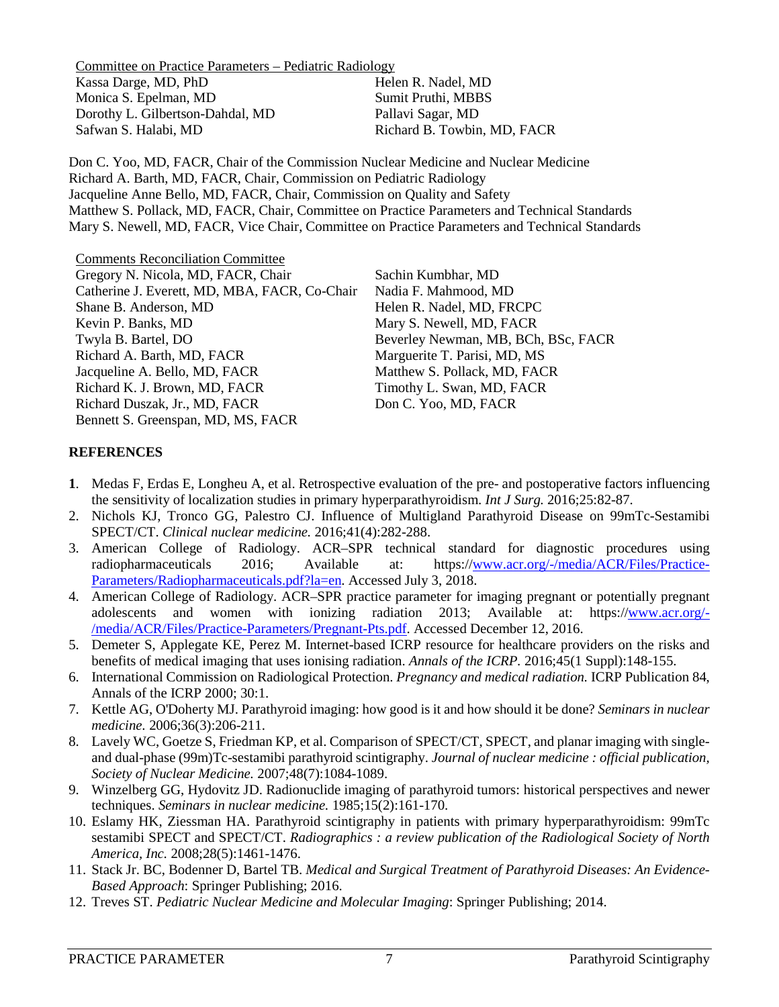Committee on Practice Parameters – Pediatric Radiology Kassa Darge, MD, PhD Helen R. Nadel, MD Monica S. Epelman, MD Sumit Pruthi, MBBS Dorothy L. Gilbertson-Dahdal, MD Pallavi Sagar, MD Safwan S. Halabi, MD Richard B. Towbin, MD, FACR

Don C. Yoo, MD, FACR, Chair of the Commission Nuclear Medicine and Nuclear Medicine Richard A. Barth, MD, FACR, Chair, Commission on Pediatric Radiology Jacqueline Anne Bello, MD, FACR, Chair, Commission on Quality and Safety Matthew S. Pollack, MD, FACR, Chair, Committee on Practice Parameters and Technical Standards Mary S. Newell, MD, FACR, Vice Chair, Committee on Practice Parameters and Technical Standards

Comments Reconciliation Committee

Gregory N. Nicola, MD, FACR, Chair Sachin Kumbhar, MD Catherine J. Everett, MD, MBA, FACR, Co-Chair Nadia F. Mahmood, MD Shane B. Anderson, MD Helen R. Nadel, MD, FRCPC Kevin P. Banks, MD Mary S. Newell, MD, FACR Twyla B. Bartel, DO Beverley Newman, MB, BCh, BSc, FACR Richard A. Barth, MD, FACR Marguerite T. Parisi, MD, MS Jacqueline A. Bello, MD, FACR Matthew S. Pollack, MD, FACR Richard K. J. Brown, MD, FACR Timothy L. Swan, MD, FACR Richard Duszak, Jr., MD, FACR Don C. Yoo, MD, FACR Bennett S. Greenspan, MD, MS, FACR

# **REFERENCES**

- <span id="page-6-0"></span>**1**. Medas F, Erdas E, Longheu A, et al. Retrospective evaluation of the pre- and postoperative factors influencing the sensitivity of localization studies in primary hyperparathyroidism. *Int J Surg.* 2016;25:82-87.
- <span id="page-6-1"></span>2. Nichols KJ, Tronco GG, Palestro CJ. Influence of Multigland Parathyroid Disease on 99mTc-Sestamibi SPECT/CT. *Clinical nuclear medicine.* 2016;41(4):282-288.
- <span id="page-6-2"></span>3. American College of Radiology. ACR–SPR technical standard for diagnostic procedures using radiopharmaceuticals 2016; Available at: https:/[/www.acr.org/-/media/ACR/Files/Practice-](http://www.acr.org/-/media/ACR/Files/Practice-Parameters/Radiopharmaceuticals.pdf?la=en)[Parameters/Radiopharmaceuticals.pdf?la=en.](http://www.acr.org/-/media/ACR/Files/Practice-Parameters/Radiopharmaceuticals.pdf?la=en) Accessed July 3, 2018.
- <span id="page-6-3"></span>4. American College of Radiology. ACR–SPR practice parameter for imaging pregnant or potentially pregnant adolescents and women with ionizing radiation 2013; Available at: https:/[/www.acr.org/-](http://www.acr.org/-/media/ACR/Files/Practice-Parameters/Pregnant-Pts.pdf) [/media/ACR/Files/Practice-Parameters/Pregnant-Pts.pdf.](http://www.acr.org/-/media/ACR/Files/Practice-Parameters/Pregnant-Pts.pdf) Accessed December 12, 2016.
- 5. Demeter S, Applegate KE, Perez M. Internet-based ICRP resource for healthcare providers on the risks and benefits of medical imaging that uses ionising radiation. *Annals of the ICRP.* 2016;45(1 Suppl):148-155.
- 6. International Commission on Radiological Protection. *Pregnancy and medical radiation.* ICRP Publication 84, Annals of the ICRP 2000; 30:1.
- <span id="page-6-4"></span>7. Kettle AG, O'Doherty MJ. Parathyroid imaging: how good is it and how should it be done? *Seminars in nuclear medicine.* 2006;36(3):206-211.
- <span id="page-6-7"></span>8. Lavely WC, Goetze S, Friedman KP, et al. Comparison of SPECT/CT, SPECT, and planar imaging with singleand dual-phase (99m)Tc-sestamibi parathyroid scintigraphy. *Journal of nuclear medicine : official publication, Society of Nuclear Medicine.* 2007;48(7):1084-1089.
- 9. Winzelberg GG, Hydovitz JD. Radionuclide imaging of parathyroid tumors: historical perspectives and newer techniques. *Seminars in nuclear medicine.* 1985;15(2):161-170.
- <span id="page-6-8"></span>10. Eslamy HK, Ziessman HA. Parathyroid scintigraphy in patients with primary hyperparathyroidism: 99mTc sestamibi SPECT and SPECT/CT. *Radiographics : a review publication of the Radiological Society of North America, Inc.* 2008;28(5):1461-1476.
- <span id="page-6-5"></span>11. Stack Jr. BC, Bodenner D, Bartel TB. *Medical and Surgical Treatment of Parathyroid Diseases: An Evidence-Based Approach*: Springer Publishing; 2016.
- <span id="page-6-6"></span>12. Treves ST. *Pediatric Nuclear Medicine and Molecular Imaging*: Springer Publishing; 2014.